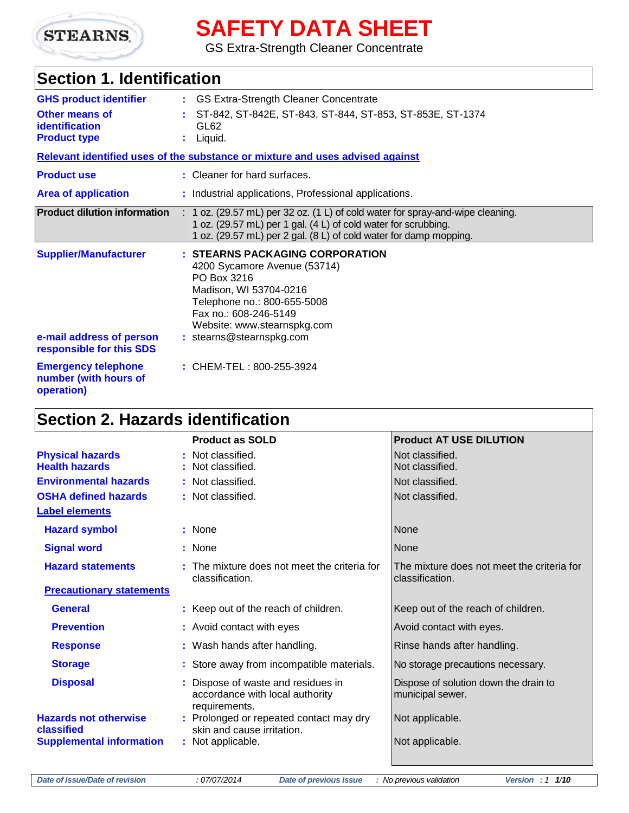

# **SAFETY DATA SHEET**

GS Extra-Strength Cleaner Concentrate

## **Section 1. Identification**

| <b>GHS product identifier</b><br><b>Other means of</b><br>identification<br><b>Product type</b> | GS Extra-Strength Cleaner Concentrate<br>t.<br>ST-842, ST-842E, ST-843, ST-844, ST-853, ST-853E, ST-1374<br>GL62<br>Liquid.<br>t.                                                                                           |
|-------------------------------------------------------------------------------------------------|-----------------------------------------------------------------------------------------------------------------------------------------------------------------------------------------------------------------------------|
|                                                                                                 | Relevant identified uses of the substance or mixture and uses advised against                                                                                                                                               |
| <b>Product use</b>                                                                              | : Cleaner for hard surfaces.                                                                                                                                                                                                |
| <b>Area of application</b>                                                                      | : Industrial applications, Professional applications.                                                                                                                                                                       |
| <b>Product dilution information</b>                                                             | $: 1$ oz. (29.57 mL) per 32 oz. (1 L) of cold water for spray-and-wipe cleaning.<br>1 oz. (29.57 mL) per 1 gal. (4 L) of cold water for scrubbing.<br>1 oz. (29.57 mL) per 2 gal. (8 L) of cold water for damp mopping.     |
| <b>Supplier/Manufacturer</b><br>e-mail address of person<br>responsible for this SDS            | : STEARNS PACKAGING CORPORATION<br>4200 Sycamore Avenue (53714)<br>PO Box 3216<br>Madison, WI 53704-0216<br>Telephone no.: 800-655-5008<br>Fax no.: 608-246-5149<br>Website: www.stearnspkg.com<br>: stearns@stearnspkg.com |
| <b>Emergency telephone</b><br>number (with hours of<br>operation)                               | : CHEM-TEL: 800-255-3924                                                                                                                                                                                                    |

## **Section 2. Hazards identification**

|                                                  | <b>Product as SOLD</b>                                                                 | <b>Product AT USE DILUTION</b>                                |
|--------------------------------------------------|----------------------------------------------------------------------------------------|---------------------------------------------------------------|
| <b>Physical hazards</b><br><b>Health hazards</b> | : Not classified.<br>: Not classified.                                                 | Not classified.<br>Not classified.                            |
| <b>Environmental hazards</b>                     | : Not classified.                                                                      | Not classified.                                               |
| <b>OSHA defined hazards</b>                      | : Not classified.                                                                      | Not classified.                                               |
| <b>Label elements</b>                            |                                                                                        |                                                               |
| <b>Hazard symbol</b>                             | : None                                                                                 | None                                                          |
| <b>Signal word</b>                               | : None                                                                                 | None                                                          |
| <b>Hazard statements</b>                         | : The mixture does not meet the criteria for<br>classification.                        | The mixture does not meet the criteria for<br>classification. |
| <b>Precautionary statements</b>                  |                                                                                        |                                                               |
| <b>General</b>                                   | : Keep out of the reach of children.                                                   | Keep out of the reach of children.                            |
| <b>Prevention</b>                                | : Avoid contact with eyes                                                              | Avoid contact with eyes.                                      |
| <b>Response</b>                                  | : Wash hands after handling.                                                           | Rinse hands after handling.                                   |
| <b>Storage</b>                                   | : Store away from incompatible materials.                                              | No storage precautions necessary.                             |
| <b>Disposal</b>                                  | : Dispose of waste and residues in<br>accordance with local authority<br>requirements. | Dispose of solution down the drain to<br>municipal sewer.     |
| <b>Hazards not otherwise</b><br>classified       | : Prolonged or repeated contact may dry<br>skin and cause irritation.                  | Not applicable.                                               |
| <b>Supplemental information</b>                  | : Not applicable.                                                                      | Not applicable.                                               |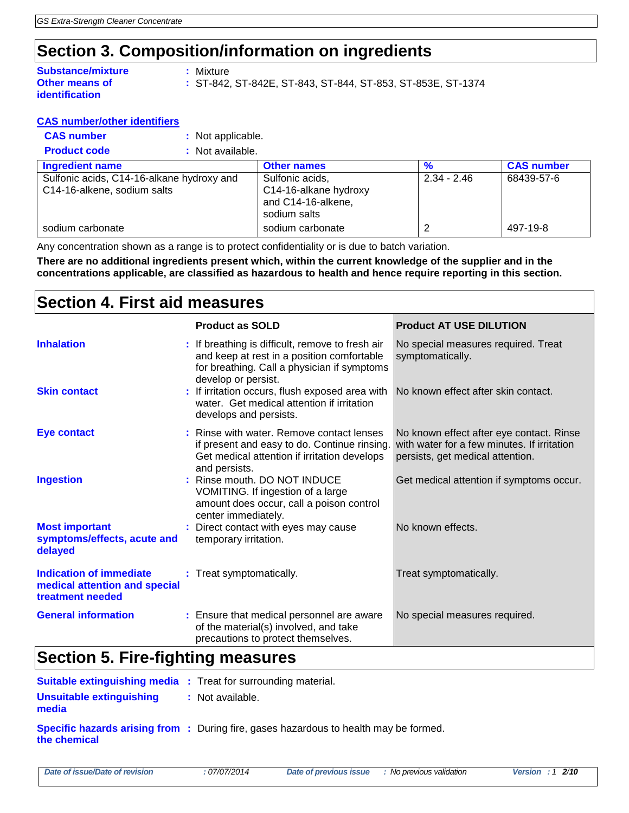## **Section 3. Composition/information on ingredients**

| <b>Substance/mixture</b> |
|--------------------------|
| <b>Other means of</b>    |
| identification           |

**:** Mixture

**:** ST-842, ST-842E, ST-843, ST-844, ST-853, ST-853E, ST-1374

#### **CAS number/other identifiers**

**CAS number :** Not applicable.

| : Not available.<br><b>Product code</b> |  |
|-----------------------------------------|--|
|-----------------------------------------|--|

| <b>Ingredient name</b>                    | <b>Other names</b>    | %             | <b>CAS number</b> |
|-------------------------------------------|-----------------------|---------------|-------------------|
| Sulfonic acids, C14-16-alkane hydroxy and | Sulfonic acids,       | $2.34 - 2.46$ | 68439-57-6        |
| C14-16-alkene, sodium salts               | C14-16-alkane hydroxy |               |                   |
|                                           | and C14-16-alkene,    |               |                   |
|                                           | sodium salts          |               |                   |
| sodium carbonate                          | sodium carbonate      |               | 497-19-8          |

Any concentration shown as a range is to protect confidentiality or is due to batch variation.

**There are no additional ingredients present which, within the current knowledge of the supplier and in the concentrations applicable, are classified as hazardous to health and hence require reporting in this section.**

## **Section 4. First aid measures**

|                                                                              | <b>Product as SOLD</b>                                                                                                                                               | <b>Product AT USE DILUTION</b>                                                                                              |
|------------------------------------------------------------------------------|----------------------------------------------------------------------------------------------------------------------------------------------------------------------|-----------------------------------------------------------------------------------------------------------------------------|
| <b>Inhalation</b>                                                            | : If breathing is difficult, remove to fresh air<br>and keep at rest in a position comfortable<br>for breathing. Call a physician if symptoms<br>develop or persist. | No special measures required. Treat<br>symptomatically.                                                                     |
| <b>Skin contact</b>                                                          | : If irritation occurs, flush exposed area with<br>water. Get medical attention if irritation<br>develops and persists.                                              | INo known effect after skin contact.                                                                                        |
| <b>Eye contact</b>                                                           | : Rinse with water. Remove contact lenses<br>if present and easy to do. Continue rinsing.<br>Get medical attention if irritation develops<br>and persists.           | No known effect after eye contact. Rinse<br>with water for a few minutes. If irritation<br>persists, get medical attention. |
| <b>Ingestion</b>                                                             | : Rinse mouth. DO NOT INDUCE<br>VOMITING. If ingestion of a large<br>amount does occur, call a poison control<br>center immediately.                                 | Get medical attention if symptoms occur.                                                                                    |
| <b>Most important</b><br>symptoms/effects, acute and<br>delayed              | : Direct contact with eyes may cause<br>temporary irritation.                                                                                                        | No known effects.                                                                                                           |
| Indication of immediate<br>medical attention and special<br>treatment needed | : Treat symptomatically.                                                                                                                                             | Treat symptomatically.                                                                                                      |
| <b>General information</b>                                                   | : Ensure that medical personnel are aware<br>of the material(s) involved, and take<br>precautions to protect themselves.                                             | No special measures required.                                                                                               |

## **Section 5. Fire-fighting measures**

| <b>Suitable extinguishing media</b> : Treat for surrounding material. |                                                                                              |
|-----------------------------------------------------------------------|----------------------------------------------------------------------------------------------|
| Unsuitable extinguishing<br>media                                     | : Not available.                                                                             |
| the chemical                                                          | <b>Specific hazards arising from</b> : During fire, gases hazardous to health may be formed. |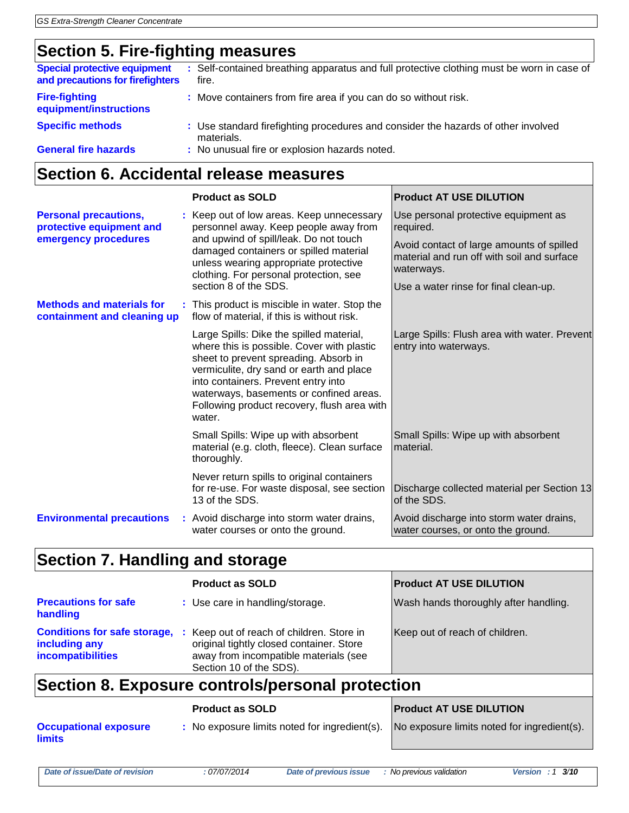## **Section 5. Fire-fighting measures**

| <b>Special protective equipment</b><br>and precautions for firefighters | : Self-contained breathing apparatus and full protective clothing must be worn in case of<br>fire. |
|-------------------------------------------------------------------------|----------------------------------------------------------------------------------------------------|
| <b>Fire-fighting</b><br>equipment/instructions                          | : Move containers from fire area if you can do so without risk.                                    |
| <b>Specific methods</b>                                                 | : Use standard firefighting procedures and consider the hazards of other involved<br>materials.    |
| <b>General fire hazards</b>                                             | : No unusual fire or explosion hazards noted.                                                      |

## **Section 6. Accidental release measures**

|                                                                                  | <b>Product as SOLD</b>                                                                                                                                                                                                                                                                                                 | <b>Product AT USE DILUTION</b>                                                                                                                                                                      |
|----------------------------------------------------------------------------------|------------------------------------------------------------------------------------------------------------------------------------------------------------------------------------------------------------------------------------------------------------------------------------------------------------------------|-----------------------------------------------------------------------------------------------------------------------------------------------------------------------------------------------------|
| <b>Personal precautions,</b><br>protective equipment and<br>emergency procedures | : Keep out of low areas. Keep unnecessary<br>personnel away. Keep people away from<br>and upwind of spill/leak. Do not touch<br>damaged containers or spilled material<br>unless wearing appropriate protective<br>clothing. For personal protection, see<br>section 8 of the SDS.                                     | Use personal protective equipment as<br>required.<br>Avoid contact of large amounts of spilled<br>material and run off with soil and surface<br>waterways.<br>Use a water rinse for final clean-up. |
| <b>Methods and materials for</b><br>containment and cleaning up                  | : This product is miscible in water. Stop the<br>flow of material, if this is without risk.                                                                                                                                                                                                                            |                                                                                                                                                                                                     |
|                                                                                  | Large Spills: Dike the spilled material,<br>where this is possible. Cover with plastic<br>sheet to prevent spreading. Absorb in<br>vermiculite, dry sand or earth and place<br>into containers. Prevent entry into<br>waterways, basements or confined areas.<br>Following product recovery, flush area with<br>water. | Large Spills: Flush area with water. Prevent<br>entry into waterways.                                                                                                                               |
|                                                                                  | Small Spills: Wipe up with absorbent<br>material (e.g. cloth, fleece). Clean surface<br>thoroughly.                                                                                                                                                                                                                    | Small Spills: Wipe up with absorbent<br>material.                                                                                                                                                   |
|                                                                                  | Never return spills to original containers<br>for re-use. For waste disposal, see section<br>13 of the SDS.                                                                                                                                                                                                            | Discharge collected material per Section 13<br>of the SDS.                                                                                                                                          |
| <b>Environmental precautions</b>                                                 | : Avoid discharge into storm water drains,<br>water courses or onto the ground.                                                                                                                                                                                                                                        | Avoid discharge into storm water drains,<br>water courses, or onto the ground.                                                                                                                      |

## **Section 7. Handling and storage**

|                                                  | <b>Product as SOLD</b>                                                                                                                                                                        | <b>Product AT USE DILUTION</b>        |  |
|--------------------------------------------------|-----------------------------------------------------------------------------------------------------------------------------------------------------------------------------------------------|---------------------------------------|--|
| <b>Precautions for safe</b><br>handling          | : Use care in handling/storage.                                                                                                                                                               | Wash hands thoroughly after handling. |  |
| including any<br>incompatibilities               | <b>Conditions for safe storage, :</b> Keep out of reach of children. Store in<br>original tightly closed container. Store<br>away from incompatible materials (see<br>Section 10 of the SDS). | Keep out of reach of children.        |  |
| Section 8. Exposure controls/personal protection |                                                                                                                                                                                               |                                       |  |
|                                                  | <b>Product AT USE DILUTION</b>                                                                                                                                                                |                                       |  |

| <b>Occupational exposure</b><br><b>limits</b> | : No exposure limits noted for ingredient(s). No exposure limits noted for ingredient(s). |  |
|-----------------------------------------------|-------------------------------------------------------------------------------------------|--|
|                                               |                                                                                           |  |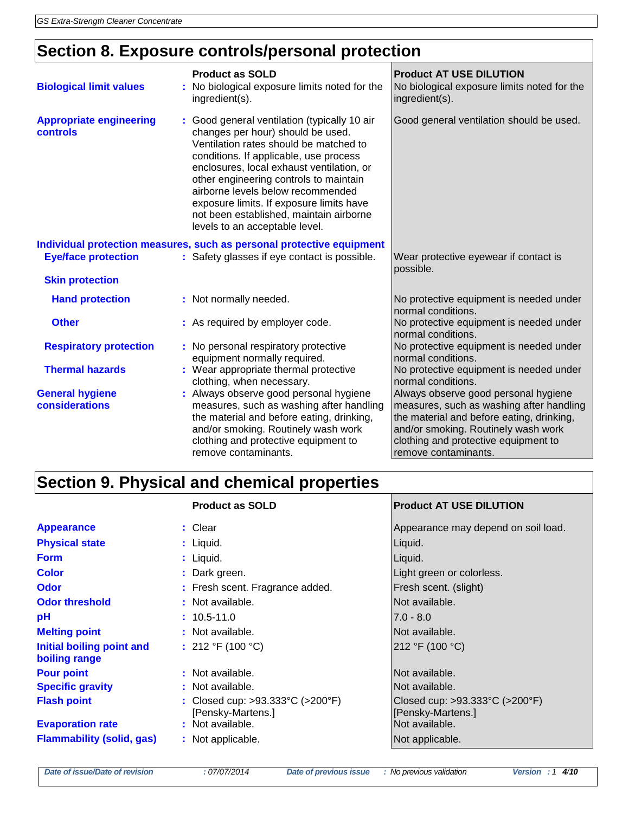## **Section 8. Exposure controls/personal protection**

| <b>Biological limit values</b>                                        | <b>Product as SOLD</b><br>: No biological exposure limits noted for the<br>ingredient(s).                                                                                                                                                                                                                                                                                                                                  | <b>Product AT USE DILUTION</b><br>No biological exposure limits noted for the<br>ingredient(s).                                                                                                                                      |
|-----------------------------------------------------------------------|----------------------------------------------------------------------------------------------------------------------------------------------------------------------------------------------------------------------------------------------------------------------------------------------------------------------------------------------------------------------------------------------------------------------------|--------------------------------------------------------------------------------------------------------------------------------------------------------------------------------------------------------------------------------------|
| <b>Appropriate engineering</b><br>controls                            | : Good general ventilation (typically 10 air<br>changes per hour) should be used.<br>Ventilation rates should be matched to<br>conditions. If applicable, use process<br>enclosures, local exhaust ventilation, or<br>other engineering controls to maintain<br>airborne levels below recommended<br>exposure limits. If exposure limits have<br>not been established, maintain airborne<br>levels to an acceptable level. | Good general ventilation should be used.                                                                                                                                                                                             |
| Individual protection measures, such as personal protective equipment |                                                                                                                                                                                                                                                                                                                                                                                                                            |                                                                                                                                                                                                                                      |
| <b>Eye/face protection</b>                                            | : Safety glasses if eye contact is possible.                                                                                                                                                                                                                                                                                                                                                                               | Wear protective eyewear if contact is<br>possible.                                                                                                                                                                                   |
| <b>Skin protection</b>                                                |                                                                                                                                                                                                                                                                                                                                                                                                                            |                                                                                                                                                                                                                                      |
| <b>Hand protection</b>                                                | : Not normally needed.                                                                                                                                                                                                                                                                                                                                                                                                     | No protective equipment is needed under<br>normal conditions.                                                                                                                                                                        |
| <b>Other</b>                                                          | : As required by employer code.                                                                                                                                                                                                                                                                                                                                                                                            | No protective equipment is needed under<br>normal conditions.                                                                                                                                                                        |
| <b>Respiratory protection</b>                                         | : No personal respiratory protective<br>equipment normally required.                                                                                                                                                                                                                                                                                                                                                       | No protective equipment is needed under<br>normal conditions.                                                                                                                                                                        |
| <b>Thermal hazards</b>                                                | : Wear appropriate thermal protective<br>clothing, when necessary.                                                                                                                                                                                                                                                                                                                                                         | No protective equipment is needed under<br>normal conditions.                                                                                                                                                                        |
| <b>General hygiene</b><br>considerations                              | : Always observe good personal hygiene<br>measures, such as washing after handling<br>the material and before eating, drinking,<br>and/or smoking. Routinely wash work<br>clothing and protective equipment to<br>remove contaminants.                                                                                                                                                                                     | Always observe good personal hygiene<br>measures, such as washing after handling<br>the material and before eating, drinking,<br>and/or smoking. Routinely wash work<br>clothing and protective equipment to<br>remove contaminants. |

## **Section 9. Physical and chemical properties**

|                                            | <b>Product as SOLD</b>                                | <b>Product AT USE DILUTION</b>                                          |
|--------------------------------------------|-------------------------------------------------------|-------------------------------------------------------------------------|
| <b>Appearance</b>                          | : Clear                                               | Appearance may depend on soil load.                                     |
| <b>Physical state</b>                      | : Liquid.                                             | Liquid.                                                                 |
| <b>Form</b>                                | $:$ Liquid.                                           | Liquid.                                                                 |
| <b>Color</b>                               | : Dark green.                                         | Light green or colorless.                                               |
| <b>Odor</b>                                | : Fresh scent. Fragrance added.                       | Fresh scent. (slight)                                                   |
| <b>Odor threshold</b>                      | : Not available.                                      | Not available.                                                          |
| pH                                         | $: 10.5 - 11.0$                                       | $7.0 - 8.0$                                                             |
| <b>Melting point</b>                       | : Not available.                                      | Not available.                                                          |
| Initial boiling point and<br>boiling range | : 212 °F (100 °C)                                     | 212 °F (100 °C)                                                         |
| <b>Pour point</b>                          | : Not available.                                      | Not available.                                                          |
| <b>Specific gravity</b>                    | : Not available.                                      | Not available.                                                          |
| <b>Flash point</b>                         | : Closed cup: >93.333°C (>200°F)<br>[Pensky-Martens.] | Closed cup: $>93.333^{\circ}C$ ( $>200^{\circ}F$ )<br>[Pensky-Martens.] |
| <b>Evaporation rate</b>                    | : Not available.                                      | Not available.                                                          |
| <b>Flammability (solid, gas)</b>           | : Not applicable.                                     | Not applicable.                                                         |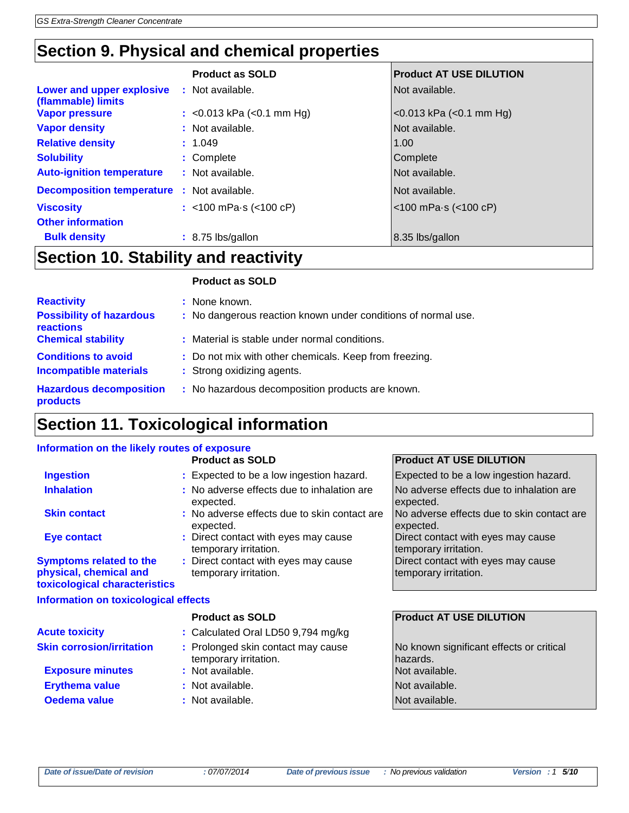## **Section 9. Physical and chemical properties**

|                                                   | <b>Product as SOLD</b>                | <b>Product AT USE DILUTION</b>      |
|---------------------------------------------------|---------------------------------------|-------------------------------------|
| Lower and upper explosive<br>(flammable) limits   | : Not available.                      | Not available.                      |
| <b>Vapor pressure</b>                             | : < $0.013$ kPa (< $0.1$ mm Hg)       | $<$ 0.013 kPa ( $<$ 0.1 mm Hg)      |
| <b>Vapor density</b>                              | : Not available.                      | Not available.                      |
| <b>Relative density</b>                           | : 1.049                               | 1.00                                |
| <b>Solubility</b>                                 | : Complete                            | Complete                            |
| <b>Auto-ignition temperature</b>                  | : Not available.                      | Not available.                      |
| <b>Decomposition temperature :</b> Not available. |                                       | Not available.                      |
| <b>Viscosity</b>                                  | : $<$ 100 mPa $\cdot$ s ( $<$ 100 cP) | $<$ 100 mPa $\cdot$ s ( $<$ 100 cP) |
| <b>Other information</b>                          |                                       |                                     |
| <b>Bulk density</b>                               | : 8.75 lbs/gallon                     | 8.35 lbs/gallon                     |
| $0$ cation 40 $0$ takility and reactivity.        |                                       |                                     |

## **Section 10. Stability and reactivity**

|                                                                          | <b>Product as SOLD</b>                                                               |
|--------------------------------------------------------------------------|--------------------------------------------------------------------------------------|
| <b>Reactivity</b><br><b>Possibility of hazardous</b><br><b>reactions</b> | : None known.<br>: No dangerous reaction known under conditions of normal use.       |
| <b>Chemical stability</b>                                                | : Material is stable under normal conditions.                                        |
| <b>Conditions to avoid</b><br><b>Incompatible materials</b>              | : Do not mix with other chemicals. Keep from freezing.<br>: Strong oxidizing agents. |
| <b>Hazardous decomposition</b><br>products                               | : No hazardous decomposition products are known.                                     |

## **Section 11. Toxicological information**

#### **Information on the likely routes of exposure**

|                                                                                           | <b>Product as SOLD</b>                                        | <b>Product AT USE DILUTION</b>                              |
|-------------------------------------------------------------------------------------------|---------------------------------------------------------------|-------------------------------------------------------------|
| <b>Ingestion</b>                                                                          | : Expected to be a low ingestion hazard.                      | Expected to be a low ingestion hazard.                      |
| <b>Inhalation</b>                                                                         | : No adverse effects due to inhalation are<br>expected.       | No adverse effects due to inhalation are<br>expected.       |
| <b>Skin contact</b>                                                                       | : No adverse effects due to skin contact are<br>expected.     | No adverse effects due to skin contact are<br>expected.     |
| <b>Eye contact</b>                                                                        | : Direct contact with eyes may cause<br>temporary irritation. | Direct contact with eyes may cause<br>temporary irritation. |
| <b>Symptoms related to the</b><br>physical, chemical and<br>toxicological characteristics | : Direct contact with eyes may cause<br>temporary irritation. | Direct contact with eyes may cause<br>temporary irritation. |
| <b>Information on toxicological effects</b>                                               |                                                               |                                                             |
|                                                                                           | <b>Product as SOLD</b>                                        | <b>Product AT USE DILUTION</b>                              |
| <b>Acute toxicity</b>                                                                     | : Calculated Oral LD50 9,794 mg/kg                            |                                                             |
| <b>Skin corrosion/irritation</b>                                                          | : Prolonged skin contact may cause<br>temporary irritation.   | No known significant effects or critical<br>hazards.        |
| <b>Exposure minutes</b>                                                                   | : Not available.                                              | Not available.                                              |
| <b>Erythema value</b>                                                                     | : Not available.                                              | Not available.                                              |
| Oedema value                                                                              | : Not available.                                              | Not available.                                              |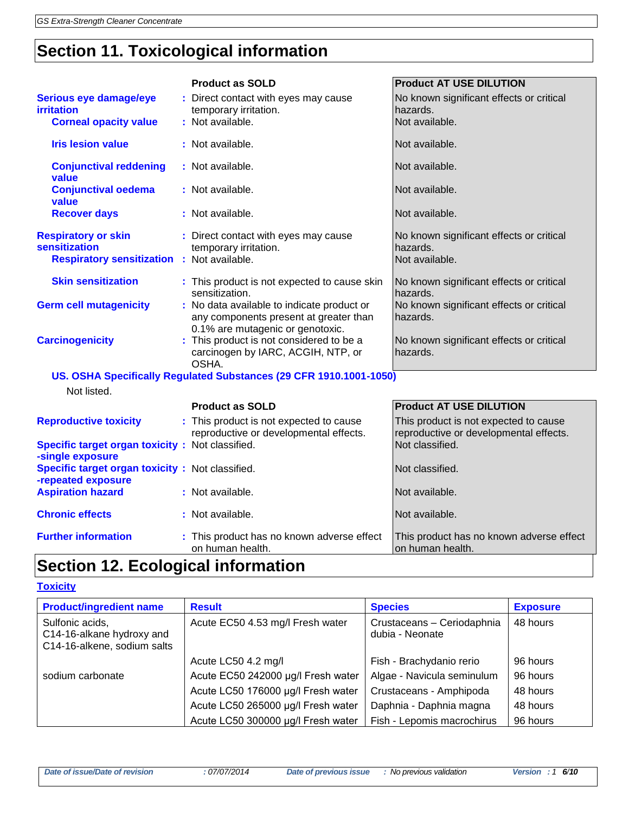## **Section 11. Toxicological information**

|                                                                                                  | <b>Product as SOLD</b>                                                                                                   | <b>Product AT USE DILUTION</b>                                                  |
|--------------------------------------------------------------------------------------------------|--------------------------------------------------------------------------------------------------------------------------|---------------------------------------------------------------------------------|
| Serious eye damage/eye<br><b>irritation</b>                                                      | : Direct contact with eyes may cause<br>temporary irritation.                                                            | No known significant effects or critical<br>hazards.                            |
| <b>Corneal opacity value</b>                                                                     | : Not available.                                                                                                         | Not available.                                                                  |
| <b>Iris lesion value</b>                                                                         | : Not available.                                                                                                         | Not available.                                                                  |
| <b>Conjunctival reddening</b><br>value                                                           | : Not available.                                                                                                         | Not available.                                                                  |
| <b>Conjunctival oedema</b><br>value                                                              | : Not available.                                                                                                         | Not available.                                                                  |
| <b>Recover days</b>                                                                              | : Not available.                                                                                                         | Not available.                                                                  |
| <b>Respiratory or skin</b><br>sensitization<br><b>Respiratory sensitization : Not available.</b> | : Direct contact with eyes may cause<br>temporary irritation.                                                            | No known significant effects or critical<br>hazards.<br>Not available.          |
| <b>Skin sensitization</b>                                                                        | : This product is not expected to cause skin<br>sensitization.                                                           | No known significant effects or critical<br>hazards.                            |
| <b>Germ cell mutagenicity</b>                                                                    | : No data available to indicate product or<br>any components present at greater than<br>0.1% are mutagenic or genotoxic. | No known significant effects or critical<br>hazards.                            |
| <b>Carcinogenicity</b>                                                                           | : This product is not considered to be a<br>carcinogen by IARC, ACGIH, NTP, or<br>OSHA.                                  | No known significant effects or critical<br>hazards.                            |
|                                                                                                  | US. OSHA Specifically Regulated Substances (29 CFR 1910.1001-1050)                                                       |                                                                                 |
| Not listed.                                                                                      |                                                                                                                          |                                                                                 |
|                                                                                                  | <b>Product as SOLD</b>                                                                                                   | <b>Product AT USE DILUTION</b>                                                  |
| <b>Reproductive toxicity</b>                                                                     | : This product is not expected to cause<br>reproductive or developmental effects.                                        | This product is not expected to cause<br>reproductive or developmental effects. |
| Specific target organ toxicity: Not classified.<br>-single exposure                              |                                                                                                                          | Not classified.                                                                 |
| Specific target organ toxicity: Not classified.<br>-repeated exposure                            |                                                                                                                          | Not classified.                                                                 |
| <b>Aspiration hazard</b>                                                                         | : Not available.                                                                                                         | Not available.                                                                  |
| <b>Chronic effects</b>                                                                           | : Not available.                                                                                                         | Not available.                                                                  |
| <b>Further information</b>                                                                       | : This product has no known adverse effect<br>on human health.                                                           | This product has no known adverse effect<br>on human health.                    |

## **Section 12. Ecological information**

#### **Toxicity**

| <b>Product/ingredient name</b>                                              | <b>Result</b>                      | <b>Species</b>                                | <b>Exposure</b> |
|-----------------------------------------------------------------------------|------------------------------------|-----------------------------------------------|-----------------|
| Sulfonic acids,<br>C14-16-alkane hydroxy and<br>C14-16-alkene, sodium salts | Acute EC50 4.53 mg/l Fresh water   | Crustaceans - Ceriodaphnia<br>dubia - Neonate | 48 hours        |
|                                                                             | Acute LC50 4.2 mg/l                | Fish - Brachydanio rerio                      | 96 hours        |
| sodium carbonate                                                            | Acute EC50 242000 µg/l Fresh water | Algae - Navicula seminulum                    | 96 hours        |
|                                                                             | Acute LC50 176000 µg/l Fresh water | Crustaceans - Amphipoda                       | 48 hours        |
|                                                                             | Acute LC50 265000 µg/l Fresh water | Daphnia - Daphnia magna                       | 48 hours        |
|                                                                             | Acute LC50 300000 µg/l Fresh water | Fish - Lepomis macrochirus                    | 96 hours        |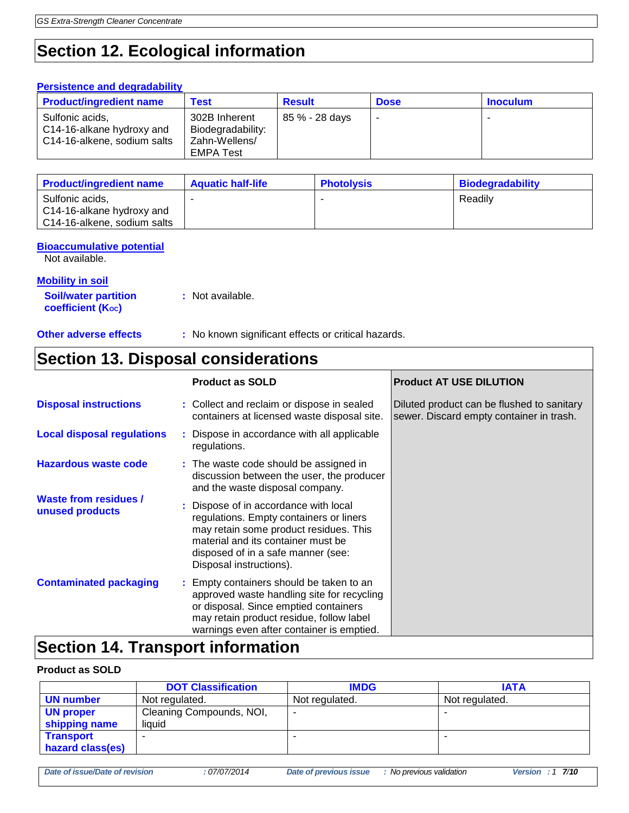## **Section 12. Ecological information**

| <b>Persistence and degradability</b>                                        |                                                                         |                |             |                 |
|-----------------------------------------------------------------------------|-------------------------------------------------------------------------|----------------|-------------|-----------------|
| <b>Product/ingredient name</b>                                              | <b>Test</b>                                                             | <b>Result</b>  | <b>Dose</b> | <b>Inoculum</b> |
| Sulfonic acids,<br>C14-16-alkane hydroxy and<br>C14-16-alkene, sodium salts | 302B Inherent<br>Biodegradability:<br>Zahn-Wellens/<br><b>EMPA Test</b> | 85 % - 28 days |             |                 |

| <b>Product/ingredient name</b>                                              | <b>Aquatic half-life</b> | <b>Photolysis</b> | <b>Biodegradability</b> |
|-----------------------------------------------------------------------------|--------------------------|-------------------|-------------------------|
| Sulfonic acids,<br>C14-16-alkane hydroxy and<br>C14-16-alkene, sodium salts |                          | -                 | Readilv                 |

#### **Bioaccumulative potential**

Not available.

### **Mobility in soil**

**Soil/water partition coefficient (KOC) :** Not available.

**Other adverse effects** : No known significant effects or critical hazards.

## **Section 13. Disposal considerations**

|                                                 | <b>Product as SOLD</b>                                                                                                                                                                                                            | <b>Product AT USE DILUTION</b>                                                         |
|-------------------------------------------------|-----------------------------------------------------------------------------------------------------------------------------------------------------------------------------------------------------------------------------------|----------------------------------------------------------------------------------------|
| <b>Disposal instructions</b>                    | : Collect and reclaim or dispose in sealed<br>containers at licensed waste disposal site.                                                                                                                                         | Diluted product can be flushed to sanitary<br>sewer. Discard empty container in trash. |
| <b>Local disposal regulations</b>               | : Dispose in accordance with all applicable<br>regulations.                                                                                                                                                                       |                                                                                        |
| <b>Hazardous waste code</b>                     | : The waste code should be assigned in<br>discussion between the user, the producer<br>and the waste disposal company.                                                                                                            |                                                                                        |
| <b>Waste from residues /</b><br>unused products | : Dispose of in accordance with local<br>regulations. Empty containers or liners<br>may retain some product residues. This<br>material and its container must be<br>disposed of in a safe manner (see:<br>Disposal instructions). |                                                                                        |
| <b>Contaminated packaging</b>                   | : Empty containers should be taken to an<br>approved waste handling site for recycling<br>or disposal. Since emptied containers<br>may retain product residue, follow label<br>warnings even after container is emptied.          |                                                                                        |

## **Section 14. Transport information**

### **Product as SOLD**

|                  | <b>DOT Classification</b> | <b>IMDG</b>    | <b>IATA</b>    |
|------------------|---------------------------|----------------|----------------|
| <b>UN number</b> | Not regulated.            | Not regulated. | Not regulated. |
| <b>UN proper</b> | Cleaning Compounds, NOI,  | -              |                |
| shipping name    | liquid                    |                |                |
| <b>Transport</b> |                           |                |                |
| hazard class(es) |                           |                |                |
|                  |                           |                |                |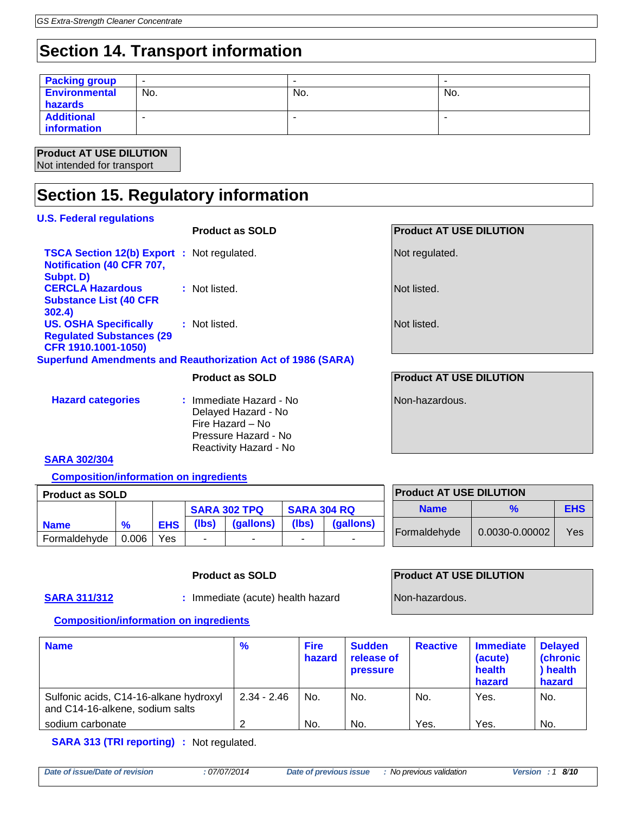## **Section 14. Transport information**

| <b>Packing group</b> | $\overline{\phantom{0}}$ |     |     |
|----------------------|--------------------------|-----|-----|
| <b>Environmental</b> | No.                      | No. | No. |
| hazards              |                          |     |     |
| <b>Additional</b>    |                          |     |     |
| information          |                          |     |     |

#### **Product AT USE DILUTION** Not intended for transport

## **Section 15. Regulatory information**

## **U.S. Federal regulations Product as SOLD Product AT USE DILUTION Not regulated.** Not regulated.

| <b>TSCA Section 12(b) Export : Not regulated.</b><br>Notification (40 CFR 707, |                                                                    |
|--------------------------------------------------------------------------------|--------------------------------------------------------------------|
| Subpt. D)<br><b>CERCLA Hazardous</b>                                           | : Not listed.                                                      |
| <b>Substance List (40 CFR</b><br>302.4)                                        |                                                                    |
| <b>US. OSHA Specifically</b><br><b>Regulated Substances (29</b>                | : Not listed.                                                      |
| CFR 1910.1001-1050)                                                            |                                                                    |
|                                                                                | <b>Superfund Amendments and Reauthorization Act of 1986 (SARA)</b> |

| <b>Hazard categories</b> | : Immediate Hazard - No |
|--------------------------|-------------------------|
|                          | Delayed Hazard - No     |
|                          | Fire Hazard – No        |
|                          | Pressure Hazard - No    |
|                          | Reactivity Hazard - No  |

Not listed.

Not listed.

### **Product as SOLD Product AT USE DILUTION**

Non-hazardous.

### **SARA 302/304**

**Composition/information on ingredients**

| <b>Product as SOLD</b> |               |            |                     |           |                          |           |  |
|------------------------|---------------|------------|---------------------|-----------|--------------------------|-----------|--|
|                        |               |            | <b>SARA 302 TPQ</b> |           | <b>SARA 304 RQ</b>       |           |  |
| <b>Name</b>            | $\frac{9}{6}$ | <b>EHS</b> | (Ibs)               | (gallons) | (lbs)                    | (gallons) |  |
| Formaldehyde           | 0.006         | Yes        |                     | -         | $\overline{\phantom{0}}$ | -         |  |

## **Product AT USE DILUTION Name % EHS** Formaldehyde  $\vert$  0.0030-0.00002  $\vert$  Yes

**SARA 311/312 :** Immediate (acute) health hazard Non-hazardous.

#### **Product as SOLD Product AT USE DILUTION**

#### **Composition/information on ingredients**

| <b>Name</b>                                                               | %             | <b>Fire</b><br>hazard | <b>Sudden</b><br>release of<br><b>pressure</b> | <b>Reactive</b> | <b>Immediate</b><br>(acute)<br>health<br>hazard | <b>Delayed</b><br><b>(chronic</b><br>) health<br>hazard |
|---------------------------------------------------------------------------|---------------|-----------------------|------------------------------------------------|-----------------|-------------------------------------------------|---------------------------------------------------------|
| Sulfonic acids, C14-16-alkane hydroxyl<br>and C14-16-alkene, sodium salts | $2.34 - 2.46$ | No.                   | No.                                            | No.             | Yes.                                            | No.                                                     |
| sodium carbonate                                                          | റ             | No.                   | No.                                            | Yes.            | Yes.                                            | No.                                                     |

**SARA 313 (TRI reporting) :** Not regulated.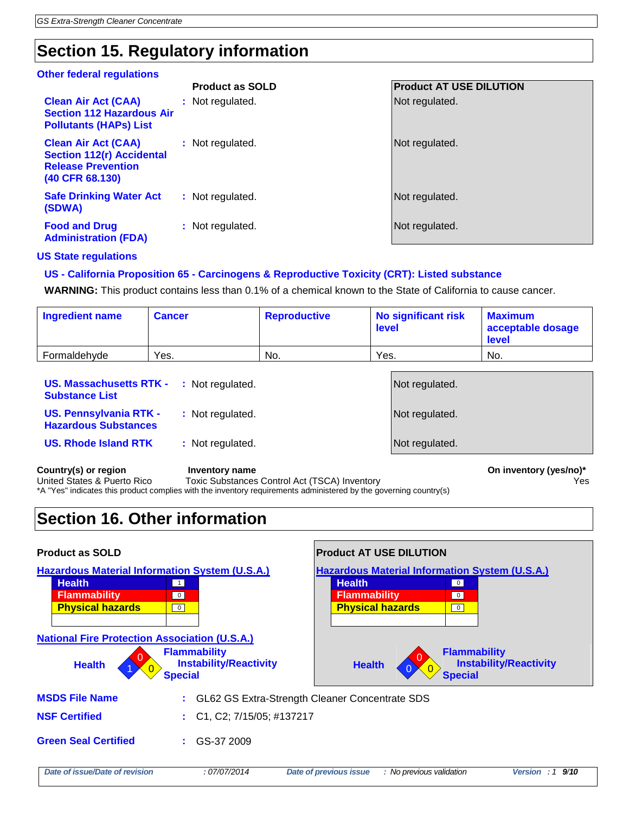## **Section 15. Regulatory information**

#### **Other federal regulations**

|                                                                                                                | <b>Product as SOLD</b> | <b>Product AT USE DILUTION</b> |
|----------------------------------------------------------------------------------------------------------------|------------------------|--------------------------------|
| <b>Clean Air Act (CAA)</b><br><b>Section 112 Hazardous Air</b><br><b>Pollutants (HAPs) List</b>                | Not regulated.<br>÷.   | Not regulated.                 |
| <b>Clean Air Act (CAA)</b><br><b>Section 112(r) Accidental</b><br><b>Release Prevention</b><br>(40 CFR 68.130) | : Not regulated.       | Not regulated.                 |
| <b>Safe Drinking Water Act</b><br>(SDWA)                                                                       | : Not regulated.       | Not regulated.                 |
| <b>Food and Drug</b><br><b>Administration (FDA)</b>                                                            | : Not regulated.       | Not regulated.                 |

#### **US State regulations**

#### **US - California Proposition 65 - Carcinogens & Reproductive Toxicity (CRT): Listed substance**

**WARNING:** This product contains less than 0.1% of a chemical known to the State of California to cause cancer.

| <b>Ingredient name</b> | <b>Cancer</b> | <b>Reproductive</b> | No significant risk<br><b>level</b> | <b>Maximum</b><br>acceptable dosage<br><b>level</b> |
|------------------------|---------------|---------------------|-------------------------------------|-----------------------------------------------------|
| Formaldehyde           | Yes.          | No.                 | Yes.                                | No.                                                 |

| <b>US. Massachusetts RTK - : Not regulated.</b><br><b>Substance List</b> |                  | Not regulated. |
|--------------------------------------------------------------------------|------------------|----------------|
| <b>US. Pennsylvania RTK -</b><br><b>Hazardous Substances</b>             | : Not regulated. | Not regulated. |
| <b>US. Rhode Island RTK</b>                                              | : Not regulated. | Not regulated. |
|                                                                          |                  |                |

Country(s) or region **Inventory name** Inventory name **Country (yes/no)\*** On inventory (yes/no)\* United States & Puerto Rico Toxic Substances Control Act (TSCA) Inventory The Material Control Act (TSCA) Inventory \*A "Yes" indicates this product complies with the inventory requirements administered by the governing country(s)

## **Section 16. Other information**